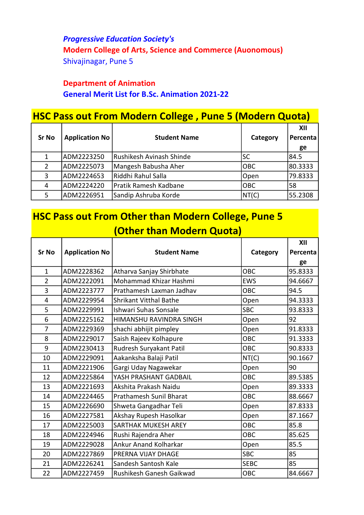Progressive Education Society's Modern College of Arts, Science and Commerce (Auonomous) Shivajinagar, Pune 5

## Department of Animation General Merit List for B.Sc. Animation 2021-22

| <b>HSC Pass out From Modern College, Pune 5 (Modern Quota)</b> |                       |                          |            |                 |  |
|----------------------------------------------------------------|-----------------------|--------------------------|------------|-----------------|--|
| <b>Sr No</b>                                                   | <b>Application No</b> | <b>Student Name</b>      | Category   | XII<br>Percenta |  |
|                                                                |                       |                          |            | ge              |  |
|                                                                | ADM2223250            | Rushikesh Avinash Shinde | <b>SC</b>  | 84.5            |  |
| 2                                                              | ADM2225073            | Mangesh Babusha Aher     | <b>OBC</b> | 80.3333         |  |
| 3                                                              | ADM2224653            | Riddhi Rahul Salla       | Open       | 79.8333         |  |
| 4                                                              | ADM2224220            | Pratik Ramesh Kadbane    | <b>OBC</b> | 58              |  |
| 5                                                              | ADM2226951            | Sandip Ashruba Korde     | NT(C)      | 55.2308         |  |

## HSC Pass out From Other than Modern College, Pune 5 (Other than Modern Quota)

|                |                       |                                |             | XII      |
|----------------|-----------------------|--------------------------------|-------------|----------|
| <b>Sr No</b>   | <b>Application No</b> | <b>Student Name</b>            | Category    | Percenta |
|                |                       |                                |             | ge       |
| $\mathbf{1}$   | ADM2228362            | Atharva Sanjay Shirbhate       | <b>OBC</b>  | 95.8333  |
| $\overline{2}$ | ADM2222091            | Mohammad Khizar Hashmi         | <b>EWS</b>  | 94.6667  |
| 3              | ADM2223777            | Prathamesh Laxman Jadhav       | <b>OBC</b>  | 94.5     |
| 4              | ADM2229954            | <b>Shrikant Vitthal Bathe</b>  | Open        | 94.3333  |
| 5              | ADM2229991            | Ishwari Suhas Sonsale          | <b>SBC</b>  | 93.8333  |
| 6              | ADM2225162            | HIMANSHU RAVINDRA SINGH        | Open        | 92       |
| $\overline{7}$ | ADM2229369            | shachi abhijit pimpley         | Open        | 91.8333  |
| 8              | ADM2229017            | Saish Rajeev Kolhapure         | OBC         | 91.3333  |
| 9              | ADM2230413            | Rudresh Suryakant Patil        | OBC         | 90.8333  |
| 10             | ADM2229091            | Aakanksha Balaji Patil         | NT(C)       | 90.1667  |
| 11             | ADM2221906            | Gargi Uday Nagawekar           | Open        | 90       |
| 12             | ADM2225864            | YASH PRASHANT GADBAIL          | OBC         | 89.5385  |
| 13             | ADM2221693            | Akshita Prakash Naidu          | Open        | 89.3333  |
| 14             | ADM2224465            | <b>Prathamesh Sunil Bharat</b> | OBC         | 88.6667  |
| 15             | ADM2226690            | Shweta Gangadhar Teli          | Open        | 87.8333  |
| 16             | ADM2227581            | Akshay Rupesh Hasolkar         | Open        | 87.1667  |
| 17             | ADM2225003            | <b>SARTHAK MUKESH AREY</b>     | OBC         | 85.8     |
| 18             | ADM2224946            | Rushi Rajendra Aher            | OBC         | 85.625   |
| 19             | ADM2229028            | <b>Ankur Anand Kolharkar</b>   | Open        | 85.5     |
| 20             | ADM2227869            | PRERNA VIJAY DHAGE             | <b>SBC</b>  | 85       |
| 21             | ADM2226241            | Sandesh Santosh Kale           | <b>SEBC</b> | 85       |
| 22             | ADM2227459            | Rushikesh Ganesh Gaikwad       | OBC         | 84.6667  |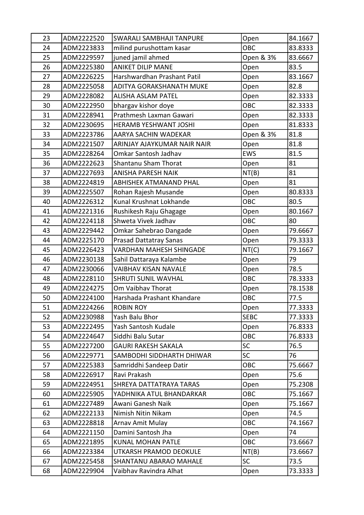| 23 | ADM2222520 | <b>SWARALI SAMBHAJI TANPURE</b> | Open        | 84.1667 |
|----|------------|---------------------------------|-------------|---------|
| 24 | ADM2223833 | milind purushottam kasar        | OBC         | 83.8333 |
| 25 | ADM2229597 | juned jamil ahmed               | Open & 3%   | 83.6667 |
| 26 | ADM2225380 | <b>ANIKET DILIP MANE</b>        | Open        | 83.5    |
| 27 | ADM2226225 | Harshwardhan Prashant Patil     | Open        | 83.1667 |
| 28 | ADM2225058 | ADITYA GORAKSHANATH MUKE        | Open        | 82.8    |
| 29 | ADM2228082 | <b>ALISHA ASLAM PATEL</b>       | Open        | 82.3333 |
| 30 | ADM2222950 | bhargav kishor doye             | <b>OBC</b>  | 82.3333 |
| 31 | ADM2228941 | Prathmesh Laxman Gawari         | Open        | 82.3333 |
| 32 | ADM2230695 | HERAMB YESHWANT JOSHI           | Open        | 81.8333 |
| 33 | ADM2223786 | AARYA SACHIN WADEKAR            | Open & 3%   | 81.8    |
| 34 | ADM2221507 | ARINJAY AJAYKUMAR NAIR NAIR     | Open        | 81.8    |
| 35 | ADM2228264 | Omkar Santosh Jadhav            | <b>EWS</b>  | 81.5    |
| 36 | ADM2222623 | Shantanu Sham Thorat            | Open        | 81      |
| 37 | ADM2227693 | <b>ANISHA PARESH NAIK</b>       | NT(B)       | 81      |
| 38 | ADM2224819 | <b>ABHISHEK ATMANAND PHAL</b>   | Open        | 81      |
| 39 | ADM2225507 | Rohan Rajesh Musande            | Open        | 80.8333 |
| 40 | ADM2226312 | Kunal Krushnat Lokhande         | OBC         | 80.5    |
| 41 | ADM2221316 | Rushikesh Raju Ghagage          | Open        | 80.1667 |
| 42 | ADM2224118 | Shweta Vivek Jadhav             | OBC         | 80      |
| 43 | ADM2229442 | Omkar Sahebrao Dangade          | Open        | 79.6667 |
| 44 | ADM2225170 | <b>Prasad Dattatray Sanas</b>   | Open        | 79.3333 |
| 45 | ADM2226423 | <b>VARDHAN MAHESH SHINGADE</b>  | NT(C)       | 79.1667 |
| 46 | ADM2230138 | Sahil Dattaraya Kalambe         | Open        | 79      |
| 47 | ADM2230066 | VAIBHAV KISAN NAVALE            | Open        | 78.5    |
| 48 | ADM2228110 | <b>SHRUTI SUNIL WAVHAL</b>      | OBC         | 78.3333 |
| 49 | ADM2224275 | Om Vaibhav Thorat               | Open        | 78.1538 |
| 50 | ADM2224100 | Harshada Prashant Khandare      | OBC         | 77.5    |
| 51 | ADM2224266 | <b>ROBIN ROY</b>                | Open        | 77.3333 |
| 52 | ADM2230988 | Yash Balu Bhor                  | <b>SEBC</b> | 77.3333 |
| 53 | ADM2222495 | Yash Santosh Kudale             | Open        | 76.8333 |
| 54 | ADM2224647 | Siddhi Balu Sutar               | OBC         | 76.8333 |
| 55 | ADM2227200 | <b>GAURI RAKESH SAKALA</b>      | SC          | 76.5    |
| 56 | ADM2229771 | SAMBODHI SIDDHARTH DHIWAR       | <b>SC</b>   | 76      |
| 57 | ADM2225383 | Samriddhi Sandeep Datir         | <b>OBC</b>  | 75.6667 |
| 58 | ADM2226917 | Ravi Prakash                    | Open        | 75.6    |
| 59 | ADM2224951 | SHREYA DATTATRAYA TARAS         | Open        | 75.2308 |
| 60 | ADM2225905 | YADHNIKA ATUL BHANDARKAR        | <b>OBC</b>  | 75.1667 |
| 61 | ADM2227489 | Awani Ganesh Naik               | Open        | 75.1667 |
| 62 | ADM2222133 | Nimish Nitin Nikam              | Open        | 74.5    |
| 63 | ADM2228818 | Arnav Amit Mulay                | OBC         | 74.1667 |
| 64 | ADM2221150 | Damini Santosh Jha              | Open        | 74      |
| 65 | ADM2221895 | <b>KUNAL MOHAN PATLE</b>        | <b>OBC</b>  | 73.6667 |
| 66 | ADM2223384 | UTKARSH PRAMOD DEOKULE          | NT(B)       | 73.6667 |
|    |            |                                 |             |         |
| 67 | ADM2225458 | SHANTANU ABARAO MAHALE          | <b>SC</b>   | 73.5    |